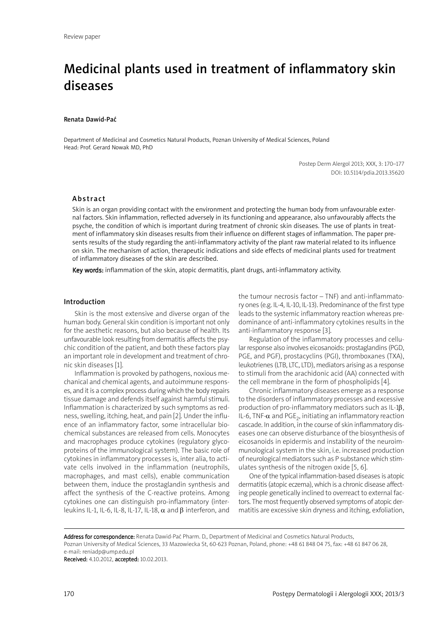# Medicinal plants used in treatment of inflammatory skin diseases

#### Renata Dawid-Pać

Department of Medicinal and Cosmetics Natural Products, Poznan University of Medical Sciences, Poland Head: Prof. Gerard Nowak MD, PhD

> Postep Derm Alergol 2013; XXX, 3: 170–177 DOI: 10.5114/pdia.2013.35620

#### Abstract

Skin is an organ providing contact with the environment and protecting the human body from unfavourable external factors. Skin inflammation, reflected adversely in its functioning and appearance, also unfavourably affects the psyche, the condition of which is important during treatment of chronic skin diseases. The use of plants in treatment of inflammatory skin diseases results from their influence on different stages of inflammation. The paper presents results of the study regarding the anti-inflammatory activity of the plant raw material related to its influence on skin. The mechanism of action, therapeutic indications and side effects of medicinal plants used for treatment of inflammatory diseases of the skin are described.

Key words: inflammation of the skin, atopic dermatitis, plant drugs, anti-inflammatory activity.

#### Introduction

Skin is the most extensive and diverse organ of the human body. General skin condition is important not only for the aesthetic reasons, but also because of health. Its unfavourable look resulting from dermatitis affects the psychic condition of the patient, and both these factors play an important role in development and treatment of chronic skin diseases [1].

Inflammation is provoked by pathogens, noxious mechanical and chemical agents, and autoimmune responses, and it is a complex process during which the body repairs tissue damage and defends itself against harmful stimuli. Inflammation is characterized by such symptoms as redness, swelling, itching, heat, and pain [2]. Under the influence of an inflammatory factor, some intracellular biochemical substances are released from cells. Monocytes and macrophages produce cytokines (regulatory glycoproteins of the immunological system). The basic role of cytokines in inflammatory processes is, inter alia, to activate cells involved in the inflammation (neutrophils, macrophages, and mast cells), enable communication between them, induce the prostaglandin synthesis and affect the synthesis of the C-reactive proteins. Among cytokines one can distinguish pro-inflammatory (interleukins IL-1, IL-6, IL-8, IL-17, IL-18,  $\alpha$  and  $\beta$  interferon, and the tumour necrosis factor – TNF) and anti-inflammatory ones (e.g. IL-4, IL-10, IL-13). Predominance of the first type leads to the systemic inflammatory reaction whereas predominance of anti-inflammatory cytokines results in the anti-inflammatory response [3].

Regulation of the inflammatory processes and cellular response also involves eicosanoids: prostaglandins (PGD, PGE, and PGF), prostacyclins (PGI), thromboxanes (TXA), leukotrienes (LTB, LTC, LTD), mediators arising as a response to stimuli from the arachidonic acid (AA) connected with the cell membrane in the form of phospholipids [4].

Chronic inflammatory diseases emerge as a response to the disorders of inflammatory processes and excessive production of pro-inflammatory mediators such as IL-1β, IL-6, TNF- $\alpha$  and PGE<sub>2</sub>, initiating an inflammatory reaction cascade. In addition, in the course of skin inflammatory diseases one can observe disturbance of the biosynthesis of eicosanoids in epidermis and instability of the neuroimmunological system in the skin, i.e. increased production of neurological mediators such as P substance which stimulates synthesis of the nitrogen oxide [5, 6].

One of the typical inflammation-based diseases is atopic dermatitis (atopic eczema), which is a chronic disease affecting people genetically inclined to overreact to external factors. The most frequently observed symptoms of atopic dermatitis are excessive skin dryness and itching, exfoliation,

Address for correspondence: Renata Dawid-Pać Pharm. D., Department of Medicinal and Cosmetics Natural Products, Poznan University of Medical Sciences, 33 Mazowiecka St, 60-623 Poznan, Poland, phone: +48 61 848 04 75, fax: +48 61 847 06 28, e-mail: reniadp@ump.edu.pl

Received: 4.10.2012, accepted: 10.02.2013.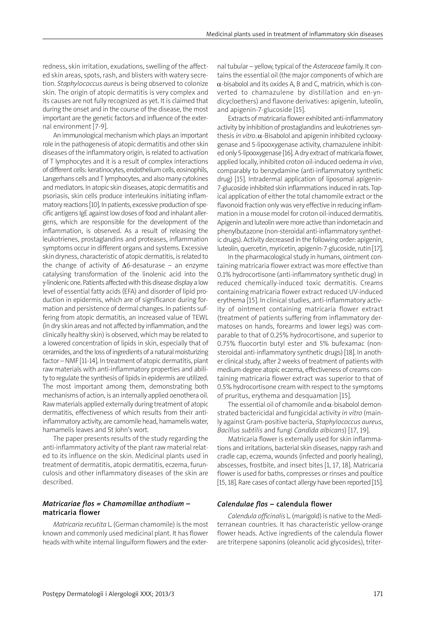redness, skin irritation, exudations, swelling of the affected skin areas, spots, rash, and blisters with watery secretion. *Staphylococcus aureus* is being observed to colonize skin. The origin of atopic dermatitis is very complex and its causes are not fully recognized as yet. It is claimed that during the onset and in the course of the disease, the most important are the genetic factors and influence of the external environment [7-9].

An immunological mechanism which plays an important role in the pathogenesis of atopic dermatitis and other skin diseases of the inflammatory origin, is related to activation of T lymphocytes and it is a result of complex interactions of different cells: keratinocytes, endothelium cells, eosinophils, Langerhans cells and T lymphocytes, and also many cytokines and mediators. In atopic skin diseases, atopic dermatitis and psoriasis, skin cells produce interleukins initiating inflammatory reactions [10]. In patients, excessive production of specific antigens IgE against low doses of food and inhalant allergens, which are responsible for the development of the inflammation, is observed. As a result of releasing the leukotrienes, prostaglandins and proteases, inflammation symptoms occur in different organs and systems. Excessive skin dryness, characteristic of atopic dermatitis, is related to the change of activity of ∆6-desaturase – an enzyme catalysing transformation of the linolenic acid into the γ-linolenic one. Patients affected with this disease display a low level of essential fatty acids (EFA) and disorder of lipid production in epidermis, which are of significance during formation and persistence of dermal changes. In patients suffering from atopic dermatitis, an increased value of TEWL (in dry skin areas and not affected by inflammation, and the clinically healthy skin) is observed, which may be related to a lowered concentration of lipids in skin, especially that of ceramides, and the loss of ingredients of a natural moisturizing factor –NMF [11-14]. In treatment of atopic dermatitis, plant raw materials with anti-inflammatory properties and ability to regulate the synthesis of lipids in epidermis are utilized. The most important among them, demonstrating both mechanisms of action, is an internally applied oenothera oil. Raw materials applied externally during treatment of atopic dermatitis, effectiveness of which results from their antiinflammatory activity, are camomile head, hamamelis water, hamamelis leaves and St John's wort.

The paper presents results of the study regarding the anti-inflammatory activity of the plant raw material related to its influence on the skin. Medicinal plants used in treatment of dermatitis, atopic dermatitis, eczema, furunculosis and other inflammatory diseases of the skin are described.

## *Matricariae flos = Chamomillae anthodium –* matricaria flower

*Matricaria recutita* L. (German chamomile) is the most known and commonly used medicinal plant. It has flower heads with white internal linguiform flowers and the external tubular – yellow, typical of the *Asteraceae* family. It contains the essential oil (the major components of which are  $\alpha$ -bisabolol and its oxides A, B and C, matricin, which is converted to chamazulene by distillation and en-yndicycloethers) and flavone derivatives: apigenin, luteolin, and apigenin-7-glucoside [15].

Extracts of matricaria flower exhibited anti-inflammatory activity by inhibition of prostaglandins and leukotrienes synthesis *in vitro*. α-Bisabolol and apigenin inhibited cyclooxygenase and 5-lipooxygenase activity, chamazulene inhibited only 5-lipooxygenase [16]. A dry extract of matricaria flower, applied locally, inhibited croton oil-induced oedema *in vivo*, comparably to benzydamine (anti-inflammatory synthetic drug) [15]. Intradermal application of liposomal apigenin-7-glucoside inhibited skin inflammations induced in rats. Topical application of either the total chamomile extract or the flavonoid fraction only was very effective in reducing inflammation in a mouse model for croton oil-induced dermatitis. Apigenin and luteolin were more active than indometacin and phenylbutazone (non-steroidal anti-inflammatory synthetic drugs). Activity decreased in the following order: apigenin, luteolin, quercetin, myricetin, apigenin-7-glucoside, rutin [17].

In the pharmacological study in humans, ointment containing matricaria flower extract was more effective than 0.1% hydrocortisone (anti-inflammatory synthetic drug) in reduced chemically-induced toxic dermatitis. Creams containing matricaria flower extract reduced UV-induced erythema [15]. In clinical studies, anti-inflammatory activity of ointment containing matricaria flower extract (treatment of patients suffering from inflammatory dermatoses on hands, forearms and lower legs) was comparable to that of 0.25% hydrocortisone, and superior to 0.75% fluocortin butyl ester and 5% bufexamac (nonsteroidal anti-inflammatory synthetic drugs) [18]. In another clinical study, after 2 weeks of treatment of patients with medium-degree atopic eczema, effectiveness of creams containing matricaria flower extract was superior to that of 0.5% hydrocortisone cream with respect to the symptoms of pruritus, erythema and desquamation [15].

The essential oil of chamomile and  $\alpha$ -bisabolol demonstrated bactericidal and fungicidal activity *in vitro* (mainly against Gram-positive bacteria, *Staphylococcus aureus*, *Bacillus subtilis* and fungi *Candida albicans*) [17, 19].

Matricaria flower is externally used for skin inflammations and irritations, bacterial skin diseases, nappy rash and cradle cap, eczema, wounds (infected and poorly healing), abscesses, frostbite, and insect bites [1, 17, 18]. Matricaria flower is used for baths, compresses or rinses and poultice [15, 18]. Rare cases of contact allergy have been reported [15].

#### *Calendulae flos* – calendula flower

*Calendula officinalis* L. (marigold) is native to the Mediterranean countries. It has characteristic yellow-orange flower heads. Active ingredients of the calendula flower are triterpene saponins (oleanolic acid glycosides), triter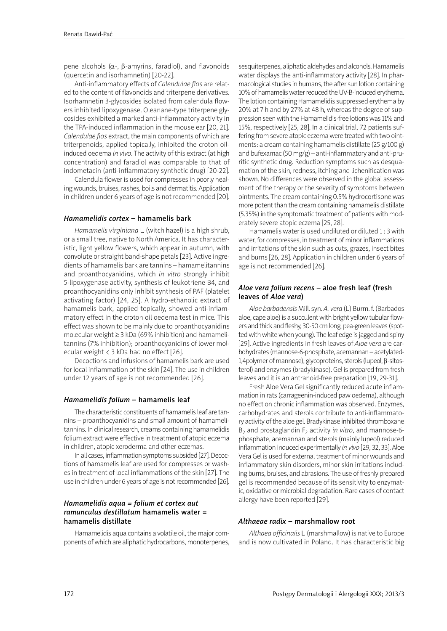pene alcohols ( $\alpha$ -, β-amyrins, faradiol), and flavonoids (quercetin and isorhamnetin) [20-22].

Anti-inflammatory effects of *Calendulae flos* are related to the content of flavonoids and triterpene derivatives. Isorhamnetin 3-glycosides isolated from calendula flowers inhibited lipoxygenase. Oleanane-type triterpene glycosides exhibited a marked anti-inflammatory activity in the TPA-induced inflammation in the mouse ear [20, 21]. *Calendulae flos* extract, the main components of which are triterpenoids, applied topically, inhibited the croton oilinduced oedema *in vivo*. The activity of this extract (at high concentration) and faradiol was comparable to that of indometacin (anti-inflammatory synthetic drug) [20-22].

Calendula flower is used for compresses in poorly healing wounds, bruises, rashes, boils and dermatitis. Application in children under 6 years of age is not recommended [20].

# *Hamamelidis cortex* – hamamelis bark

*Hamamelis virginiana* L. (witch hazel) is a high shrub, or a small tree, native to North America. It has characteristic, light yellow flowers, which appear in autumn, with convolute or straight band-shape petals [23]. Active ingredients of hamamelis bark are tannins – hamamelitannins and proanthocyanidins, which *in vitro* strongly inhibit 5-lipoxygenase activity, synthesis of leukotriene B4, and proanthocyanidins only inhibit synthesis of PAF (platelet activating factor) [24, 25]. A hydro-ethanolic extract of hamamelis bark, applied topically, showed anti-inflammatory effect in the croton oil oedema test in mice. This effect was shown to be mainly due to proanthocyanidins molecular weight ≥ 3 kDa (69% inhibition) and hamamelitannins (7% inhibition); proanthocyanidins of lower molecular weight < 3 kDa had no effect [26].

Decoctions and infusions of hamamelis bark are used for local inflammation of the skin [24]. The use in children under 12 years of age is not recommended [26].

# *Hamamelidis folium* – hamamelis leaf

The characteristic constituents of hamamelis leaf are tannins – proanthocyanidins and small amount of hamamelitannins. In clinical research, creams containing hamamelidis folium extract were effective in treatment of atopic eczema in children, atopic xeroderma and other eczemas.

In all cases, inflammation symptoms subsided [27]. Decoctions of hamamelis leaf are used for compresses or washes in treatment of local inflammations of the skin [27]. The use in children under 6 years of age is not recommended [26].

# *Hamamelidis aqua = folium et cortex aut ramunculus destillatum* hamamelis water = hamamelis distillate

Hamamelidis aqua contains a volatile oil, the major components of which are aliphatic hydrocarbons, monoterpenes, sesquiterpenes, aliphatic aldehydes and alcohols.Hamamelis water displays the anti-inflammatory activity [28]. In pharmacological studies in humans, the after sun lotion containing 10% of hamamelis water reduced the UV-B-induced erythema. The lotion containing Hamamelidis suppressed erythema by 20% at 7 h and by 27% at 48 h, whereas the degree of suppression seen with the Hamamelidis-free lotions was 11% and 15%, respectively [25, 28]. In a clinical trial, 72 patients suffering from severe atopic eczema were treated with two ointments: a cream containing hamamelis distillate (25 g/100 g) and bufexamac (50 mg/g) – anti-inflammatory and anti-pruritic synthetic drug. Reduction symptoms such as desquamation of the skin, redness, itching and lichenification was shown. No differences were observed in the global assessment of the therapy or the severity of symptoms between ointments. The cream containing 0.5% hydrocortisone was more potent than the cream containing hamamelis distillate (5.35%) in the symptomatic treatment of patients with moderately severe atopic eczema [25, 28].

Hamamelis water is used undiluted or diluted 1: 3 with water, for compresses, in treatment of minor inflammations and irritations of the skin such as cuts, grazes, insect bites and burns [26, 28]. Application in children under 6 years of age is not recommended [26].

# *Aloe vera folium recens* – aloe fresh leaf (fresh leaves of *Aloe vera*)

*Aloe barbadensis* Mill. syn. *A. vera* (L.) Burm. f. (Barbados aloe, cape aloe) is a succulent with bright yellow tubular flowers and thick and fleshy, 30-50 cm long, pea-green leaves (spotted with white when young). The leaf edge is jagged and spiny [29]. Active ingredients in fresh leaves of *Aloe vera* are carbohydrates (mannose-6-phosphate, acemannan – acetylated-1,4polymer of mannose), glycoproteins, sterols (lupeol, β-sitosterol) and enzymes (bradykinase).Gel is prepared from fresh leaves and it is an antranoid-free preparation [19, 29-31].

Fresh Aloe Vera Gel significantly reduced acute inflammation in rats (carrageenin-induced paw oedema), although no effect on chronic inflammation was observed. Enzymes, carbohydrates and sterols contribute to anti-inflammatory activity of the aloe gel. Bradykinase inhibited thromboxane B<sub>2</sub> and prostaglandin F<sub>2</sub> activity *in vitro*, and mannose-6phosphate, acemannan and sterols (mainly lupeol) reduced inflammation induced experimentally *in vivo* [29, 32, 33]. Aloe Vera Gel is used for external treatment of minor wounds and inflammatory skin disorders, minor skin irritations including burns, bruises, and abrasions. The use of freshly prepared gel is recommended because of its sensitivity to enzymatic, oxidative or microbial degradation. Rare cases of contact allergy have been reported [29].

# *Althaeae radix* – marshmallow root

*Althaea officinalis* L. (marshmallow) is native to Europe and is now cultivated in Poland. It has characteristic big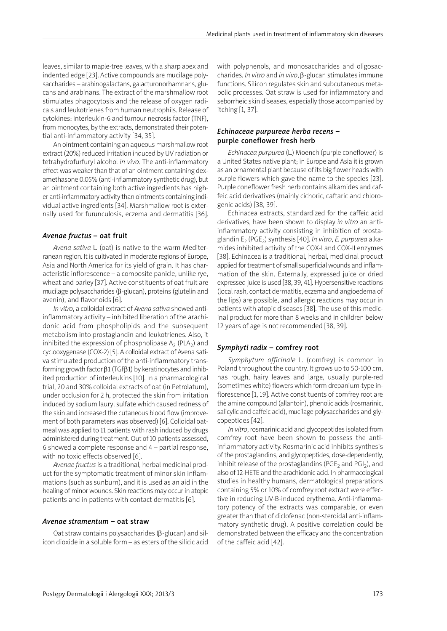leaves, similar to maple-tree leaves, with a sharp apex and indented edge [23]. Active compounds are mucilage polysaccharides – arabinogalactans, galacturonorhamnans, glucans and arabinans. The extract of the marshmallow root stimulates phagocytosis and the release of oxygen radicals and leukotrienes from human neutrophils. Release of cytokines: interleukin-6 and tumour necrosis factor (TNF), from monocytes, by the extracts, demonstrated their potential anti-inflammatory activity [34, 35].

An ointment containing an aqueous marshmallow root extract (20%) reduced irritation induced by UV radiation or tetrahydrofurfuryl alcohol *in vivo*. The anti-inflammatory effect was weaker than that of an ointment containing dexamethasone 0.05% (anti-inflammatory synthetic drug), but an ointment containing both active ingredients has higher anti-inflammatory activity than ointments containing individual active ingredients [34]. Marshmallow root is externally used for furunculosis, eczema and dermatitis [36].

#### *Avenae fructus* – oat fruit

*Avena sativa* L. (oat) is native to the warm Mediterranean region. It is cultivated in moderate regions of Europe, Asia and North America for its yield of grain. It has characteristic inflorescence – a composite panicle, unlike rye, wheat and barley [37]. Active constituents of oat fruit are mucilage polysaccharides (β-glucan), proteins (glutelin and avenin), and flavonoids [6].

*In vitro*, a colloidal extract of *Avena sativa* showed antiinflammatory activity – inhibited liberation of the arachidonic acid from phospholipids and the subsequent metabolism into prostaglandin and leukotrienes. Also, it inhibited the expression of phospholipase  $A_2$  (PLA<sub>2</sub>) and cyclooxygenase (COX-2) [5]. A colloidal extract of Avena sativa stimulated production of the anti-inflammatory transforming growth factor β1(TGFβ1) by keratinocytes and inhibited production of interleukins [10]. In a pharmacological trial, 20 and 30% colloidal extracts of oat (in Petrolatum), under occlusion for 2 h, protected the skin from irritation induced by sodium lauryl sulfate which caused redness of the skin and increased the cutaneous blood flow (improvement of both parameters was observed) [6]. Colloidal oatmeal was applied to 11 patients with rash induced by drugs administered during treatment. Out of 10 patients assessed, 6 showed a complete response and 4 – partial response, with no toxic effects observed [6].

*Avenae fructus* is a traditional, herbal medicinal product for the symptomatic treatment of minor skin inflammations (such as sunburn), and it is used as an aid in the healing of minor wounds. Skin reactions may occur in atopic patients and in patients with contact dermatitis [6].

#### *Avenae stramentum* – oat straw

Oat straw contains polysaccharides (β-glucan) and silicon dioxide in a soluble form – as esters of the silicic acid with polyphenols, and monosaccharides and oligosaccharides. *In vitro* and *in vivo*, β-glucan stimulates immune functions. Silicon regulates skin and subcutaneous metabolic processes. Oat straw is used for inflammatory and seborrheic skin diseases, especially those accompanied by itching [1, 37].

# *Echinaceae purpureae herba recens –* purple coneflower fresh herb

*Echinacea purpurea* (L.) Moench (purple coneflower) is a United States native plant; in Europe and Asia it is grown as an ornamental plant because of its big flower heads with purple flowers which gave the name to the species [23]. Purple coneflower fresh herb contains alkamides and caffeic acid derivatives (mainly cichoric, caftaric and chlorogenic acids) [38, 39].

Echinacea extracts, standardized for the caffeic acid derivatives, have been shown to display *in vitro* an antiinflammatory activity consisting in inhibition of prostaglandin E2 (PGE2) synthesis [40]. *In vitro*, *E. purpurea* alkamides inhibited activity of the COX-I and COX-II enzymes [38]. Echinacea is a traditional, herbal, medicinal product applied for treatment of small superficial wounds and inflammation of the skin. Externally, expressed juice or dried expressed juice is used [38, 39, 41]. Hypersensitive reactions (local rash, contact dermatitis, eczema and angioedema of the lips) are possible, and allergic reactions may occur in patients with atopic diseases [38]. The use of this medicinal product for more than 8 weeks and in children below 12 years of age is not recommended [38, 39].

#### *Symphyti radix* – comfrey root

*Symphytum officinale* L. (comfrey) is common in Poland throughout the country. It grows up to 50-100 cm, has rough, hairy leaves and large, usually purple-red (sometimes white) flowers which form drepanium-type inflorescence [1,19]. Active constituents of comfrey root are the amine compound (allantoin), phenolic acids (rosmarinic, salicylic and caffeic acid), mucilage polysaccharides and glycopeptides [42].

*In vitro*, rosmarinic acid and glycopeptides isolated from comfrey root have been shown to possess the antiinflammatory activity. Rosmarinic acid inhibits synthesis of the prostaglandins, and glycopeptides, dose-dependently, inhibit release of the prostaglandins (PGE<sub>2</sub> and PGI<sub>2</sub>), and also of12-HETE and the arachidonic acid. In pharmacological studies in healthy humans, dermatological preparations containing 5% or 10% of comfrey root extract were effective in reducing UV-B-induced erythema. Anti-inflammatory potency of the extracts was comparable, or even greater than that of diclofenac (non-steroidal anti-inflammatory synthetic drug). A positive correlation could be demonstrated between the efficacy and the concentration of the caffeic acid [42].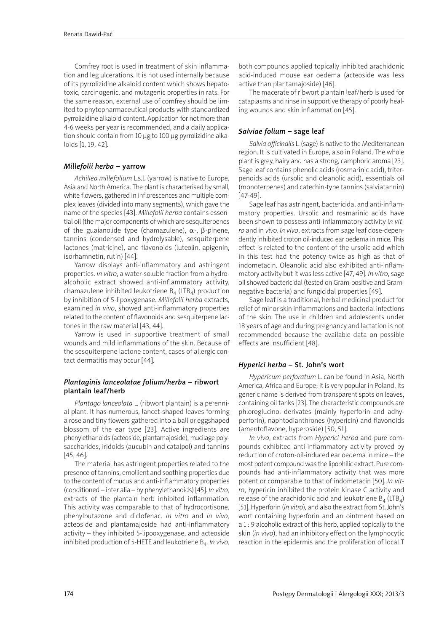Comfrey root is used in treatment of skin inflammation and leg ulcerations. It is not used internally because of its pyrrolizidine alkaloid content which shows hepatotoxic, carcinogenic, and mutagenic properties in rats. For the same reason, external use of comfrey should be limited to phytopharmaceutical products with standardized pyrrolizidine alkaloid content. Application for not more than 4-6 weeks per year is recommended, and a daily application should contain from 10 µg to 100 µg pyrrolizidine alkaloids [1, 19, 42].

# *Millefolii herba* – yarrow

*Achillea millefolium* L.s.l. (yarrow) is native to Europe, Asia and North America. The plant is characterised by small, white flowers, gathered in inflorescences and multiple complex leaves (divided into many segments), which gave the name of the species [43]. *Millefolii herba* contains essential oil (the major components of which are sesquiterpenes of the guaianolide type (chamazulene),  $\alpha$ -, β-pinene, tannins (condensed and hydrolysable), sesquiterpene lactones (matricine), and flavonoids (luteolin, apigenin, isorhamnetin, rutin) [44].

Yarrow displays anti-inflammatory and astringent properties. *In vitro*, a water-soluble fraction from a hydroalcoholic extract showed anti-inflammatory activity, chamazulene inhibited leukotriene  $B_4$  (LTB<sub>4</sub>) production by inhibition of 5-lipoxygenase. *Millefolii herba* extracts, examined *in vivo*, showed anti-inflammatory properties related to the content of flavonoids and sesquiterpene lactones in the raw material [43, 44].

Yarrow is used in supportive treatment of small wounds and mild inflammations of the skin. Because of the sesquiterpene lactone content, cases of allergic contact dermatitis may occur [44].

# *Plantaginis lanceolatae folium/herb*a – ribwort plantain leaf/herb

*Plantago lanceolata* L. (ribwort plantain) is a perennial plant. It has numerous, lancet-shaped leaves forming a rose and tiny flowers gathered into a ball or eggshaped blossom of the ear type [23]. Active ingredients are phenylethanoids (acteoside, plantamajoside), mucilage polysaccharides, iridoids (aucubin and catalpol) and tannins [45, 46].

The material has astringent properties related to the presence of tannins, emollient and soothing properties due to the content of mucus and anti-inflammatory properties (conditioned – inter alia – by phenylethanoids) [45]. *In vitro*, extracts of the plantain herb inhibited inflammation. This activity was comparable to that of hydrocortisone, phenylbutazone and diclofenac. *In vitro* and *in vivo*, acteoside and plantamajoside had anti-inflammatory activity – they inhibited 5-lipooxygenase, and acteoside inhibited production of 5-HETE and leukotriene B<sub>4</sub>. In vivo,

both compounds applied topically inhibited arachidonic acid-induced mouse ear oedema (acteoside was less active than plantamajoside) [46].

The macerate of ribwort plantain leaf/herb is used for cataplasms and rinse in supportive therapy of poorly healing wounds and skin inflammation [45].

# *Salviae folium* – sage leaf

*Salvia officinalis* L. (sage) is native to the Mediterranean region. It is cultivated in Europe, also in Poland. The whole plant is grey, hairy and has a strong, camphoric aroma [23]. Sage leaf contains phenolic acids (rosmarinic acid), triterpenoids acids (ursolic and oleanolic acid), essentials oil (monoterpenes) and catechin-type tannins (salviatannin) [47-49].

Sage leaf has astringent, bactericidal and anti-inflammatory properties. Ursolic and rosmarinic acids have been shown to possess anti-inflammatory activity *in vitro* and in *vivo. In vivo*, extracts from sage leaf dose-dependently inhibited croton oil-induced ear oedema in mice. This effect is related to the content of the ursolic acid which in this test had the potency twice as high as that of indometacin. Oleanolic acid also exhibited anti-inflammatory activity but it was less active [47, 49]. *In vitro*, sage oil showed bactericidal (tested on Gram-positive and Gramnegative bacteria) and fungicidal properties [49].

Sage leaf is a traditional, herbal medicinal product for relief of minor skin inflammations and bacterial infections of the skin. The use in children and adolescents under 18 years of age and during pregnancy and lactation is not recommended because the available data on possible effects are insufficient [48].

# *Hyperici herba* – St. John's wort

*Hypericum perforatum* L. can be found in Asia, North America, Africa and Europe; it is very popular in Poland. Its generic name is derived from transparent spots on leaves, containing oil tanks [23]. The characteristic compounds are phloroglucinol derivates (mainly hyperforin and adhyperforin), naphtodianthrones (hypericin) and flavonoids (amentoflavone, hyperoside) [50, 51].

*In vivo*, extracts from *Hyperici herba* and pure compounds exhibited anti-inflammatory activity proved by reduction of croton-oil-induced ear oedema in mice – the most potent compound was the lipophilic extract. Pure compounds had anti-inflammatory activity that was more potent or comparable to that of indometacin [50]. *In vitro*, hypericin inhibited the protein kinase C activity and release of the arachidonic acid and leukotriene  $B_4$  (LTB<sub>4</sub>) [51]. Hyperforin (*in vitro*), and also the extract from St. John's wort containing hyperforin and an ointment based on a 1: 9 alcoholic extract of this herb, applied topically to the skin (*in vivo*), had an inhibitory effect on the lymphocytic reaction in the epidermis and the proliferation of local T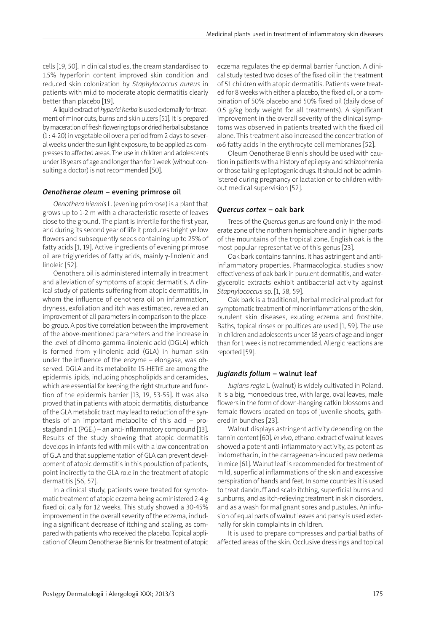cells [19, 50]. In clinical studies, the cream standardised to 1.5% hyperforin content improved skin condition and reduced skin colonization by *Staphylococcus aureus* in patients with mild to moderate atopic dermatitis clearly better than placebo [19].

Aliquidextractof*hyperici herba* isusedexternally fortreatment of minor cuts, burns and skin ulcers [51]. It is prepared by maceration of fresh flowering tops or dried herbal substance (1: 4-20) in vegetable oil over a period from 2 days to several weeks under the sun light exposure, to be applied as compresses to affected areas. The use in children and adolescents under 18 years of age and longer than for 1 week (without consulting a doctor) is not recommended [50].

### *Oenotherae oleum* – evening primrose oil

*Oenothera biennis* L. (evening primrose) is a plant that grows up to 1-2 m with a characteristic rosette of leaves close to the ground. The plant is infertile for the first year, and during its second year of life it produces bright yellow flowers and subsequently seeds containing up to 25% of fatty acids [1, 19]. Active ingredients of evening primrose oil are triglycerides of fatty acids, mainly γ-linolenic and linoleic [52].

Oenothera oil is administered internally in treatment and alleviation of symptoms of atopic dermatitis. A clinical study of patients suffering from atopic dermatitis, in whom the influence of oenothera oil on inflammation, dryness, exfoliation and itch was estimated, revealed an improvement of all parameters in comparison to the placebo group. A positive correlation between the improvement of the above-mentioned parameters and the increase in the level of dihomo-gamma-linolenic acid (DGLA) which is formed from γ-linolenic acid (GLA) in human skin under the influence of the enzyme – elongase, was observed. DGLA and its metabolite 15-HETrE are among the epidermis lipids, including phospholipids and ceramides, which are essential for keeping the right structure and function of the epidermis barrier [13, 19, 53-55]. It was also proved that in patients with atopic dermatitis, disturbance of the GLA metabolic tract may lead to reduction of the synthesis of an important metabolite of this acid – prostaglandin 1 (PGE<sub>1</sub>) – an anti-inflammatory compound [13]. Results of the study showing that atopic dermatitis develops in infants fed with milk with a low concentration of GLA and that supplementation of GLA can prevent development of atopic dermatitis in this population of patients, point indirectly to the GLA role in the treatment of atopic dermatitis [56, 57].

In a clinical study, patients were treated for symptomatic treatment of atopic eczema being administered 2-4 g fixed oil daily for 12 weeks. This study showed a 30-45% improvement in the overall severity of the eczema, including a significant decrease of itching and scaling, as compared with patients who received the placebo. Topical application of Oleum Oenotherae Biennis for treatment of atopic eczema regulates the epidermal barrier function. A clinical study tested two doses of the fixed oil in the treatment of 51 children with atopic dermatitis. Patients were treated for 8 weeks with either a placebo, the fixed oil, or a combination of 50% placebo and 50% fixed oil (daily dose of 0.5 g/kg body weight for all treatments). A significant improvement in the overall severity of the clinical symptoms was observed in patients treated with the fixed oil alone. This treatment also increased the concentration of ω6 fatty acids in the erythrocyte cell membranes [52].

Oleum Oenotherae Biennis should be used with caution in patients with a history of epilepsy and schizophrenia or those taking epileptogenic drugs. It should not be administered during pregnancy or lactation or to children without medical supervision [52].

#### *Quercus cortex* – oak bark

Trees of the *Quercus* genus are found only in the moderate zone of the northern hemisphere and in higher parts of the mountains of the tropical zone. English oak is the most popular representative of this genus [23].

Oak bark contains tannins. It has astringent and antiinflammatory properties. Pharmacological studies show effectiveness of oak bark in purulent dermatitis, and waterglycerolic extracts exhibit antibacterial activity against *Staphylococcus* sp. [1, 58, 59].

Oak bark is a traditional, herbal medicinal product for symptomatic treatment of minor inflammations of the skin, purulent skin diseases, exuding eczema and frostbite. Baths, topical rinses or poultices are used [1, 59]. The use in children and adolescents under 18 years of age and longer than for1 week is not recommended. Allergic reactions are reported [59].

#### *Juglandis folium* – walnut leaf

*Juglans regia* L. (walnut) is widely cultivated in Poland. It is a big, monoecious tree, with large, oval leaves, male flowers in the form of down-hanging catkin blossoms and female flowers located on tops of juvenile shoots, gathered in bunches [23].

Walnut displays astringent activity depending on the tannin content [60]. *In vivo*, ethanol extract of walnut leaves showed a potent anti-inflammatory activity, as potent as indomethacin, in the carrageenan-induced paw oedema in mice [61]. Walnut leaf is recommended for treatment of mild, superficial inflammations of the skin and excessive perspiration of hands and feet. In some countries it is used to treat dandruff and scalp itching, superficial burns and sunburns, and as itch-relieving treatment in skin disorders, and as a wash for malignant sores and pustules. An infusion of equal parts of walnut leaves and pansy is used externally for skin complaints in children.

It is used to prepare compresses and partial baths of affected areas of the skin. Occlusive dressings and topical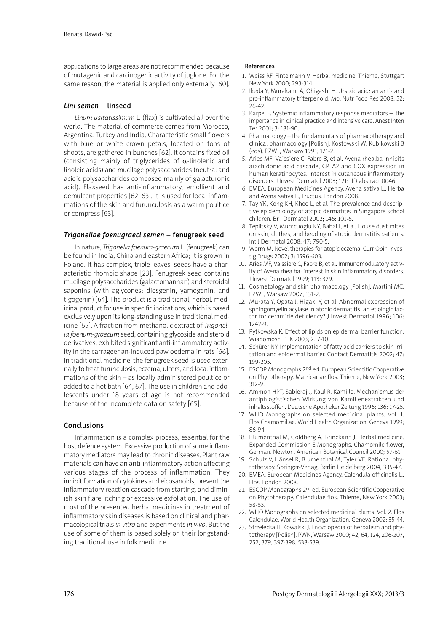applications to large areas are not recommended because of mutagenic and carcinogenic activity of juglone. For the same reason, the material is applied only externally [60].

## *Lini semen* – linseed

*Linum usitatissimum* L. (flax) is cultivated all over the world. The material of commerce comes from Morocco, Argentina, Turkey and India. Characteristic small flowers with blue or white crown petals, located on tops of shoots, are gathered in bunches [62]. It contains fixed oil (consisting mainly of triglycerides of  $\alpha$ -linolenic and linoleic acids) and mucilage polysaccharides (neutral and acidic polysaccharides composed mainly of galacturonic acid). Flaxseed has anti-inflammatory, emollient and demulcent properties [62, 63]. It is used for local inflammations of the skin and furunculosis as a warm poultice or compress [63].

### *Trigonellae foenugraeci semen* – fenugreek seed

In nature, *Trigonella foenum-graecum* L. (fenugreek) can be found in India, China and eastern Africa; it is grown in Poland. It has complex, triple leaves, seeds have a characteristic rhombic shape [23]. Fenugreek seed contains mucilage polysaccharides (galactomannan) and steroidal saponins (with aglycones: diosgenin, yamogenin, and tigogenin) [64]. The product is a traditional, herbal, medicinal product for use in specific indications, which is based exclusively upon its long-standing use in traditional medicine [65]. A fraction from methanolic extract of *Trigonella foenum-graecum* seed, containing glycoside and steroid derivatives, exhibited significant anti-inflammatory activity in the carrageenan-induced paw oedema in rats [66]. In traditional medicine, the fenugreek seed is used externally to treat furunculosis, eczema, ulcers, and local inflammations of the skin – as locally administered poultice or added to a hot bath [64, 67]. The use in children and adolescents under 18 years of age is not recommended because of the incomplete data on safety [65].

#### Conclusions

Inflammation is a complex process, essential for the host defence system. Excessive production of some inflammatory mediators may lead to chronic diseases. Plant raw materials can have an anti-inflammatory action affecting various stages of the process of inflammation. They inhibit formation of cytokines and eicosanoids, prevent the inflammatory reaction cascade from starting, and diminish skin flare, itching or excessive exfoliation. The use of most of the presented herbal medicines in treatment of inflammatory skin diseases is based on clinical and pharmacological trials *in vitro* and experiments *in vivo*. But the use of some of them is based solely on their longstanding traditional use in folk medicine.

#### References

- 1. Weiss RF, Fintelmann V. Herbal medicine. Thieme, Stuttgart New York 2000; 293-314.
- 2. Ikeda Y, Murakami A, Ohigashi H. Ursolic acid: an anti- and pro-inflammatory triterpenoid. Mol Nutr Food Res 2008, 52: 26-42.
- 3. Karpel E. Systemic inflammatory response mediators the importance in clinical practice and intensive care. Anest Inten Ter 2001; 3: 181-90.
- 4. Pharmacology the fundamentals of pharmacotherapy and clinical pharmacology [Polish]. Kostowski W, Kubikowski B (eds). PZWL, Warsaw 1991; 121-2.
- 5. Aries MF, Vaissiere C, Fabre B, et al. Avena rhealba inhibits arachidonic acid cascade, CPLA2 and COX expression in human keratinocytes. Interest in cutaneous inflammatory disorders. J Invest Dermatol 2003; 121: JID abstract 0046.
- 6. EMEA. European Medicines Agency. Avena sativa L., Herba and Avena sativa L., Fructus. London 2008.
- 7. Tay YK, Kong KH, Khoo L, et al. The prevalence and descriptive epidemiology of atopic dermatitis in Singapore school children. Br J Dermatol 2002; 146: 101-6.
- 8. Teplitsky V, Mumcuoglu KY, Babai I, et al. House dust mites on skin, clothes, and bedding of atopic dermatitis patients. Int J Dermatol 2008; 47: 790-5.
- 9. Worm M. Novel therapies for atopic eczema. Curr Opin Investig Drugs 2002; 3: 1596-603.
- 10. Aries MF, Vaissiere C, Fabre B, et al. Immunomodulatory activity of Avena rhealba: interest in skin inflammatory disorders. J Invest Dermatol 1999; 113: 329.
- 11. Cosmetology and skin pharmacology [Polish]. Martini MC. PZWL, Warsaw 2007; 131-2.
- 12. Murata Y, Ogata J, Higaki Y, et al. Abnormal expression of sphingomyelin acylase in atopic dermatitis: an etiologic factor for ceramide deficiency? J Invest Dermatol 1996; 106: 1242-9.
- 13. Pytkowska K. Effect of lipids on epidermal barrier function. Wiadomości PTK 2003; 2: 7-10.
- 14. Schürer NY. Implementation of fatty acid carriers to skin irritation and epidermal barrier. Contact Dermatitis 2002; 47: 199-205.
- 15. ESCOP Monographs 2<sup>nd</sup> ed. European Scientific Cooperative on Phytotherapy. Matricariae flos. Thieme, New York 2003; 312-9.
- 16. Ammon HPT, Sabieraj J, Kaul R. Kamille. Mechanismus der antiphlogistischen Wirkung von Kamillenextrakten und inhaltsstoffen. Deutsche Apotheker Zeitung 1996; 136: 17-25.
- 17. WHO Monographs on selected medicinal plants. Vol. 1. Flos Chamomillae. World Health Organization, Geneva 1999; 86-94.
- 18. Blumenthal M, Goldberg A, Brinckann J. Herbal medicine. Expanded Commission E Monographs. Chamomile flower, German. Newton, American Botanical Council 2000; 57-61.
- 19. Schulz V, Hänsel R, Blumenthal M, Tyler VE. Rational phytotherapy. Springer-Verlag, Berlin Heidelberg 2004; 335-47.
- 20. EMEA. European Medicines Agency. Calendula officinalis L., Flos. London 2008.
- 21. ESCOP Monographs 2<sup>nd</sup> ed. European Scientific Cooperative on Phytotherapy. Calendulae flos. Thieme, New York 2003; 58-63.
- 22. WHO Monographs on selected medicinal plants. Vol. 2. Flos Calendulae. World Health Organization, Geneva 2002; 35-44.
- 23. Strzelecka H, Kowalski J. Encyclopedia of herbalism and phytotherapy [Polish]. PWN, Warsaw 2000; 42, 64,124, 206-207, 252, 379, 397-398, 538-539.